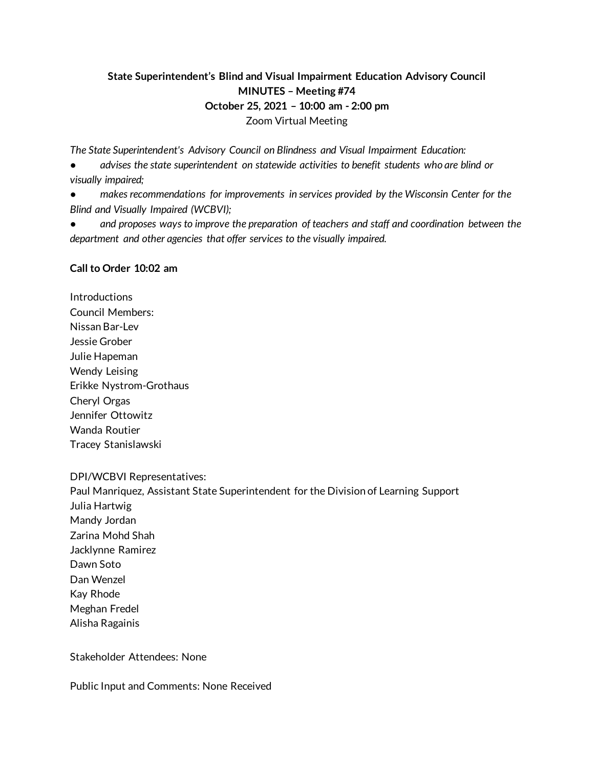# **State Superintendent's Blind and Visual Impairment Education Advisory Council MINUTES – Meeting #74 October 25, 2021 – 10:00 am - 2:00 pm** Zoom Virtual Meeting

*The State Superintendent's Advisory Council on Blindness and Visual Impairment Education:*

advises the state superintendent on statewide activities to benefit students who are blind or *visually impaired;*

makes recommendations for improvements in services provided by the Wisconsin Center for the *Blind and Visually Impaired (WCBVI);*

and proposes ways to improve the preparation of teachers and staff and coordination between the *department and other agencies that offer services to the visually impaired.*

### **Call to Order 10:02 am**

**Introductions** Council Members: Nissan Bar-Lev Jessie Grober Julie Hapeman Wendy Leising Erikke Nystrom-Grothaus Cheryl Orgas Jennifer Ottowitz Wanda Routier Tracey Stanislawski

#### DPI/WCBVI Representatives:

Paul Manriquez, Assistant State Superintendent for the Division of Learning Support Julia Hartwig Mandy Jordan Zarina Mohd Shah Jacklynne Ramirez Dawn Soto Dan Wenzel Kay Rhode Meghan Fredel Alisha Ragainis

Stakeholder Attendees: None

Public Input and Comments: None Received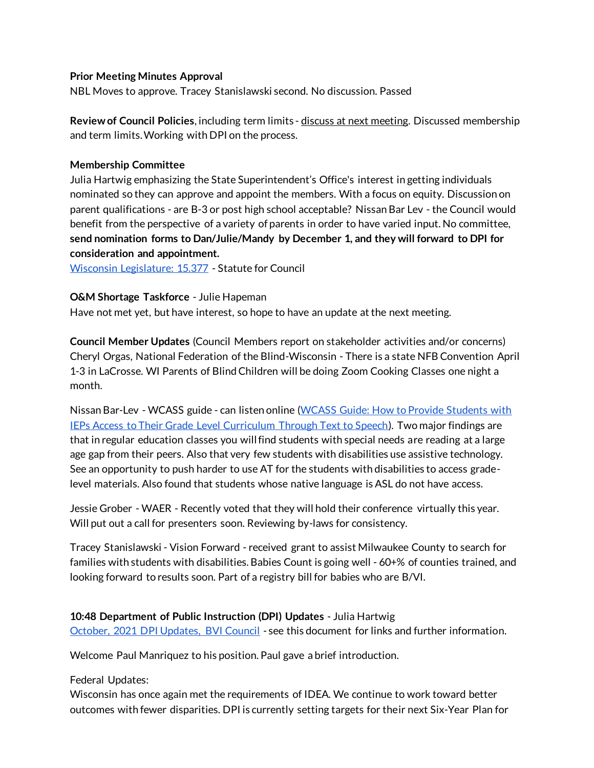### **Prior Meeting Minutes Approval**

NBL Moves to approve. Tracey Stanislawski second. No discussion. Passed

**Review of Council Policies**, including term limits - discuss at next meeting. Discussed membership and term limits. Working with DPI on the process.

### **Membership Committee**

Julia Hartwig emphasizing the State Superintendent's Office's interest in getting individuals nominated so they can approve and appoint the members. With a focus on equity. Discussion on parent qualifications - are B-3 or post high school acceptable? Nissan Bar Lev - the Council would benefit from the perspective of a variety of parents in order to have varied input. No committee, **send nomination forms to Dan/Julie/Mandy by December 1, and they will forward to DPI for consideration and appointment.** 

[Wisconsin Legislature: 15.377](https://docs.legis.wisconsin.gov/statutes/statutes/15/ii/377) - Statute for Council

### **O&M Shortage Taskforce** - Julie Hapeman

Have not met yet, but have interest, so hope to have an update at the next meeting.

**Council Member Updates** (Council Members report on stakeholder activities and/or concerns) Cheryl Orgas, National Federation of the Blind-Wisconsin - There is a state NFB Convention April 1-3 in LaCrosse. WI Parents of Blind Children will be doing Zoom Cooking Classes one night a month.

Nissan Bar-Lev - WCASS guide - can listen online (WCASS Guide: How to Provide Students with [IEPs Access to Their Grade Level Curriculum Through Text to Speech\).](https://www.wcass.org/wcass-guide) Two major findings are that in regular education classes you will find students with special needs are reading at a large age gap from their peers. Also that very few students with disabilities use assistive technology. See an opportunity to push harder to use AT for the students with disabilities to access gradelevel materials. Also found that students whose native language is ASL do not have access.

Jessie Grober - WAER - Recently voted that they will hold their conference virtually this year. Will put out a call for presenters soon. Reviewing by-laws for consistency.

Tracey Stanislawski - Vision Forward - received grant to assist Milwaukee County to search for families with students with disabilities. Babies Count is going well - 60+% of counties trained, and looking forward to results soon. Part of a registry bill for babies who are B/VI.

**10:48 Department of Public Instruction (DPI) Updates** - Julia Hartwig [October, 2021 DPI Updates, BVI Council](https://docs.google.com/document/d/1huon27rWgiE6PSqGL7seR8IwgoiVlVPKk6y7v1aQiH8/edit) - see this document for links and further information.

Welcome Paul Manriquez to his position. Paul gave a brief introduction.

Federal Updates:

Wisconsin has once again met the requirements of IDEA. We continue to work toward better outcomes with fewer disparities. DPI is currently setting targets for their next Six-Year Plan for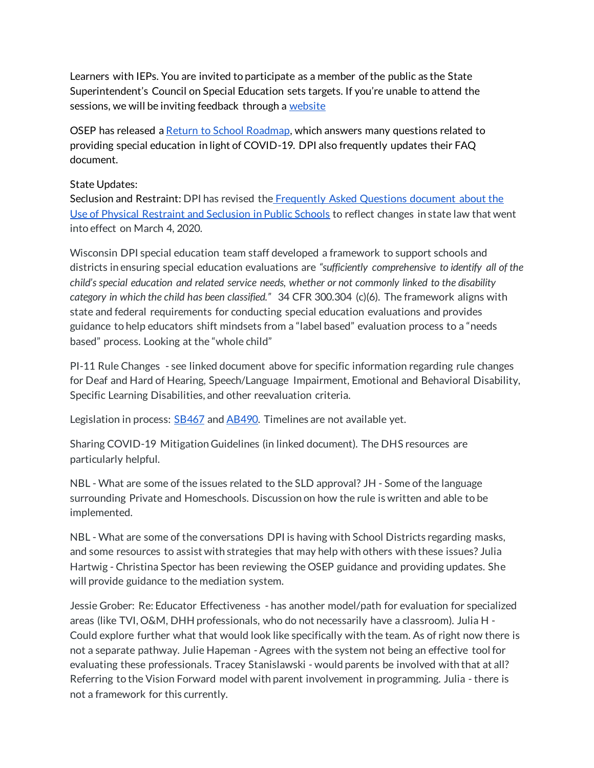Learners with IEPs. You are invited to participate as a member of the public as the State Superintendent's Council on Special Education sets targets. If you're unable to attend the sessions, we will be inviting feedback through a [website](https://dpi.wi.gov/sped/spp-target-setting)

OSEP has released [a Return to School Roadmap,](https://sites.ed.gov/idea/idea-files/return-to-school-roadmap-development-and-implementation-of-ieps/) which answers many questions related to providing special education in light of COVID-19. DPI also frequently updates their FAQ document.

### State Updates:

Seclusion and Restraint: DPI has revised the [Frequently Asked Questions document about the](https://dpi.wi.gov/sites/default/files/imce/sped/pdf/secrest-faq.pdf)  [Use of Physical Restraint and Seclusion in Public Schools](https://dpi.wi.gov/sites/default/files/imce/sped/pdf/secrest-faq.pdf) to reflect changes in state law that went into effect on March 4, 2020.

Wisconsin DPI special education team staff developed a framework to support schools and districts in ensuring special education evaluations are *"sufficiently comprehensive to identify all of the child's special education and related service needs, whether or not commonly linked to the disability category in which the child has been classified."* 34 CFR 300.304 (c)(6). The framework aligns with state and federal requirements for conducting special education evaluations and provides guidance to help educators shift mindsets from a "label based" evaluation process to a "needs based" process. Looking at the "whole child"

PI-11 Rule Changes - see linked document above for specific information regarding rule changes for Deaf and Hard of Hearing, Speech/Language Impairment, Emotional and Behavioral Disability, Specific Learning Disabilities, and other reevaluation criteria.

Legislation in process: **SB467** an[d AB490.](https://docs.legis.wisconsin.gov/2021/proposals/reg/asm/bill/ab490) Timelines are not available yet.

Sharing COVID-19 Mitigation Guidelines (in linked document). The DHS resources are particularly helpful.

NBL - What are some of the issues related to the SLD approval? JH - Some of the language surrounding Private and Homeschools. Discussion on how the rule is written and able to be implemented.

NBL - What are some of the conversations DPI is having with School Districts regarding masks, and some resources to assist with strategies that may help with others with these issues? Julia Hartwig - Christina Spector has been reviewing the OSEP guidance and providing updates. She will provide guidance to the mediation system.

Jessie Grober: Re: Educator Effectiveness - has another model/path for evaluation for specialized areas (like TVI, O&M, DHH professionals, who do not necessarily have a classroom). Julia H - Could explore further what that would look like specifically with the team. As of right now there is not a separate pathway. Julie Hapeman - Agrees with the system not being an effective tool for evaluating these professionals. Tracey Stanislawski - would parents be involved with that at all? Referring to the Vision Forward model with parent involvement in programming. Julia - there is not a framework for this currently.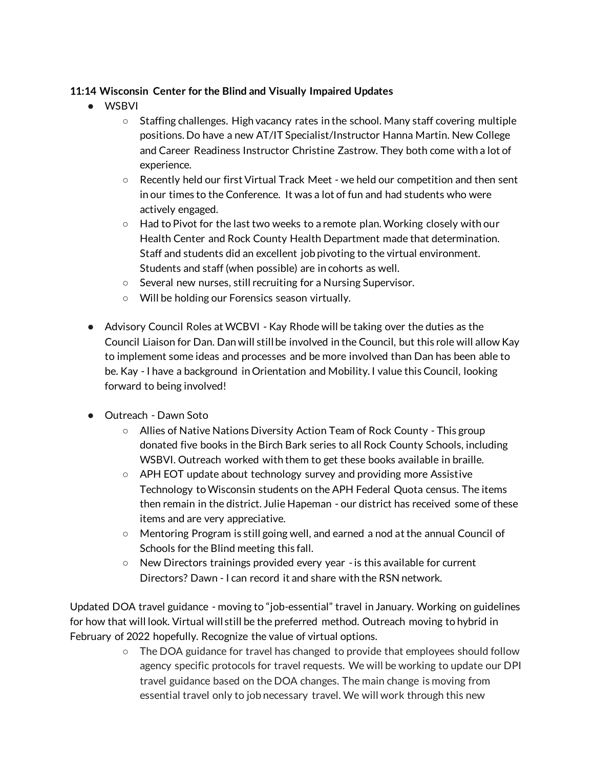# **11:14 Wisconsin Center for the Blind and Visually Impaired Updates**

- WSBVI
	- Staffing challenges. High vacancy rates in the school. Many staff covering multiple positions. Do have a new AT/IT Specialist/Instructor Hanna Martin. New College and Career Readiness Instructor Christine Zastrow. They both come with a lot of experience.
	- Recently held our first Virtual Track Meet we held our competition and then sent in our times to the Conference. It was a lot of fun and had students who were actively engaged.
	- Had to Pivot for the last two weeks to a remote plan. Working closely with our Health Center and Rock County Health Department made that determination. Staff and students did an excellent job pivoting to the virtual environment. Students and staff (when possible) are in cohorts as well.
	- Several new nurses, still recruiting for a Nursing Supervisor.
	- Will be holding our Forensics season virtually.
- Advisory Council Roles at WCBVI Kay Rhode will be taking over the duties as the Council Liaison for Dan. Dan will still be involved in the Council, but this role will allow Kay to implement some ideas and processes and be more involved than Dan has been able to be. Kay - I have a background in Orientation and Mobility. I value this Council, looking forward to being involved!
- Outreach Dawn Soto
	- Allies of Native Nations Diversity Action Team of Rock County This group donated five books in the Birch Bark series to all Rock County Schools, including WSBVI. Outreach worked with them to get these books available in braille.
	- APH EOT update about technology survey and providing more Assistive Technology to Wisconsin students on the APH Federal Quota census. The items then remain in the district. Julie Hapeman - our district has received some of these items and are very appreciative.
	- Mentoring Program is still going well, and earned a nod at the annual Council of Schools for the Blind meeting this fall.
	- New Directors trainings provided every year -is this available for current Directors? Dawn - I can record it and share with the RSN network.

Updated DOA travel guidance - moving to "job-essential" travel in January. Working on guidelines for how that will look. Virtual will still be the preferred method. Outreach moving to hybrid in February of 2022 hopefully. Recognize the value of virtual options.

> ○ The DOA guidance for travel has changed to provide that employees should follow agency specific protocols for travel requests. We will be working to update our DPI travel guidance based on the DOA changes. The main change is moving from essential travel only to job necessary travel. We will work through this new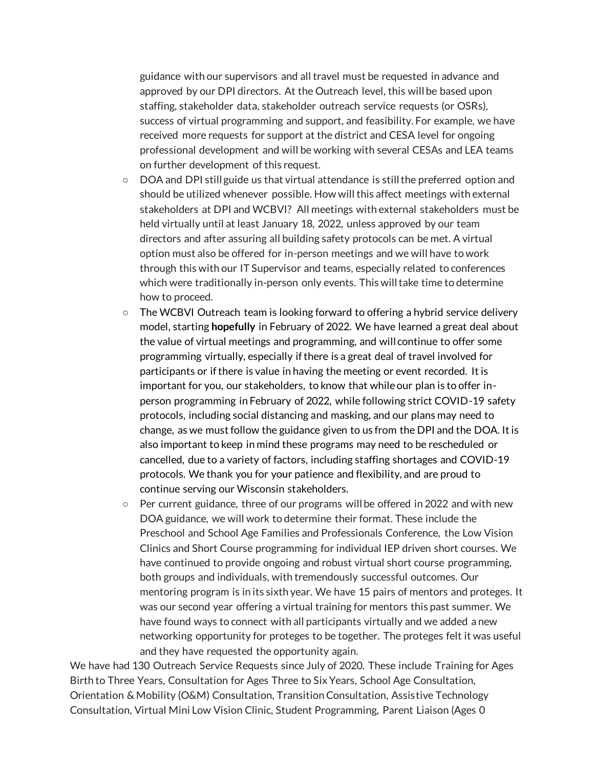guidance with our supervisors and all travel must be requested in advance and approved by our DPI directors. At the Outreach level, this will be based upon staffing, stakeholder data, stakeholder outreach service requests (or OSRs), success of virtual programming and support, and feasibility. For example, we have received more requests for support at the district and CESA level for ongoing professional development and will be working with several CESAs and LEA teams on further development of this request.

- DOA and DPI still guide us that virtual attendance is still the preferred option and should be utilized whenever possible. How will this affect meetings with external stakeholders at DPI and WCBVI? All meetings with external stakeholders must be held virtually until at least January 18, 2022, unless approved by our team directors and after assuring all building safety protocols can be met. A virtual option must also be offered for in-person meetings and we will have to work through this with our IT Supervisor and teams, especially related to conferences which were traditionally in-person only events. This will take time to determine how to proceed.
- The WCBVI Outreach team is looking forward to offering a hybrid service delivery model, starting **hopefully** in February of 2022. We have learned a great deal about the value of virtual meetings and programming, and will continue to offer some programming virtually, especially if there is a great deal of travel involved for participants or if there is value in having the meeting or event recorded. It is important for you, our stakeholders, to know that while our plan is to offer inperson programming in February of 2022, while following strict COVID-19 safety protocols, including social distancing and masking, and our plans may need to change, as we must follow the guidance given to us from the DPI and the DOA. It is also important to keep in mind these programs may need to be rescheduled or cancelled, due to a variety of factors, including staffing shortages and COVID-19 protocols. We thank you for your patience and flexibility, and are proud to continue serving our Wisconsin stakeholders.
- $\circ$  Per current guidance, three of our programs will be offered in 2022 and with new DOA guidance, we will work to determine their format. These include the Preschool and School Age Families and Professionals Conference, the Low Vision Clinics and Short Course programming for individual IEP driven short courses. We have continued to provide ongoing and robust virtual short course programming, both groups and individuals, with tremendously successful outcomes. Our mentoring program is in its sixth year. We have 15 pairs of mentors and proteges. It was our second year offering a virtual training for mentors this past summer. We have found ways to connect with all participants virtually and we added a new networking opportunity for proteges to be together. The proteges felt it was useful and they have requested the opportunity again.

We have had 130 Outreach Service Requests since July of 2020. These include Training for Ages Birth to Three Years, Consultation for Ages Three to Six Years, School Age Consultation, Orientation & Mobility (O&M) Consultation, Transition Consultation, Assistive Technology Consultation, Virtual Mini Low Vision Clinic, Student Programming, Parent Liaison (Ages 0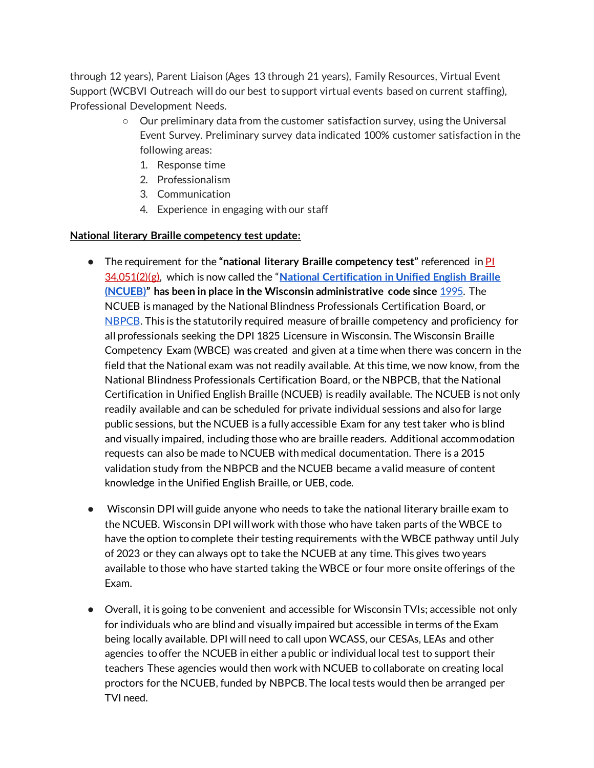through 12 years), Parent Liaison (Ages 13 through 21 years), Family Resources, Virtual Event Support (WCBVI Outreach will do our best to support virtual events based on current staffing), Professional Development Needs.

- Our preliminary data from the customer satisfaction survey, using the Universal Event Survey. Preliminary survey data indicated 100% customer satisfaction in the following areas:
	- 1. Response time
	- 2. Professionalism
	- 3. Communication
	- 4. Experience in engaging with our staff

### **National literary Braille competency test update:**

- The requirement for the **"national literary Braille competency test"** referenced i[n](https://nam10.safelinks.protection.outlook.com/?url=https%3A%2F%2Fdocs.legis.wisconsin.gov%2Fdocument%2Fadministrativecode%2FPI%252034.051(2)(g)&data=04%7C01%7CDawn.Soto%40wcbvi.k12.wi.us%7C00634a5b15bd47fdac7508d9278fb2f0%7C99feb2c4c40a4932afb5dfa68122d56f%7C1%7C0%7C637584320393552020%7CUnknown%7CTWFpbGZsb3d8eyJWIjoiMC4wLjAwMDAiLCJQIjoiV2luMzIiLCJBTiI6Ik1haWwiLCJXVCI6Mn0%3D%7C1000&sdata=I0IbVinxmDnaBkuG1YLqU254iSW6xMWNEFVdKHYPRqA%3D&reserved=0) [PI](https://nam10.safelinks.protection.outlook.com/?url=https%3A%2F%2Fdocs.legis.wisconsin.gov%2Fdocument%2Fadministrativecode%2FPI%252034.051(2)(g)&data=04%7C01%7CDawn.Soto%40wcbvi.k12.wi.us%7C00634a5b15bd47fdac7508d9278fb2f0%7C99feb2c4c40a4932afb5dfa68122d56f%7C1%7C0%7C637584320393552020%7CUnknown%7CTWFpbGZsb3d8eyJWIjoiMC4wLjAwMDAiLCJQIjoiV2luMzIiLCJBTiI6Ik1haWwiLCJXVCI6Mn0%3D%7C1000&sdata=I0IbVinxmDnaBkuG1YLqU254iSW6xMWNEFVdKHYPRqA%3D&reserved=0)  [34.051\(2\)\(g\)](https://nam10.safelinks.protection.outlook.com/?url=https%3A%2F%2Fdocs.legis.wisconsin.gov%2Fdocument%2Fadministrativecode%2FPI%252034.051(2)(g)&data=04%7C01%7CDawn.Soto%40wcbvi.k12.wi.us%7C00634a5b15bd47fdac7508d9278fb2f0%7C99feb2c4c40a4932afb5dfa68122d56f%7C1%7C0%7C637584320393552020%7CUnknown%7CTWFpbGZsb3d8eyJWIjoiMC4wLjAwMDAiLCJQIjoiV2luMzIiLCJBTiI6Ik1haWwiLCJXVCI6Mn0%3D%7C1000&sdata=I0IbVinxmDnaBkuG1YLqU254iSW6xMWNEFVdKHYPRqA%3D&reserved=0), which is now called the "**[National Certification in Unified English Braille](https://www.nbpcb.org/ncueb/)  [\(NCUEB\)](https://www.nbpcb.org/ncueb/)" has been in place in the Wisconsin administrative code sinc[e](https://docs.legis.wisconsin.gov/code/register/1994/464b/rules/cr_93_212.pdf)** [1995.](https://docs.legis.wisconsin.gov/code/register/1994/464b/rules/cr_93_212.pdf) The NCUEB is managed by the National Blindness Professionals Certification Board, o[r](https://www.nbpcb.org/) [NBPCB.](https://www.nbpcb.org/) This is the statutorily required measure of braille competency and proficiency for all professionals seeking the DPI 1825 Licensure in Wisconsin. The Wisconsin Braille Competency Exam (WBCE) was created and given at a time when there was concern in the field that the National exam was not readily available. At this time, we now know, from the National Blindness Professionals Certification Board, or the NBPCB, that the National Certification in Unified English Braille (NCUEB) is readily available. The NCUEB is not only readily available and can be scheduled for private individual sessions and also for large public sessions, but the NCUEB is a fully accessible Exam for any test taker who is blind and visually impaired, including those who are braille readers. Additional accommodation requests can also be made to NCUEB with medical documentation. There is a 2015 validation study from the NBPCB and the NCUEB became a valid measure of content knowledge in the Unified English Braille, or UEB, code.
- Wisconsin DPI will guide anyone who needs to take the national literary braille exam to the NCUEB. Wisconsin DPI will work with those who have taken parts of the WBCE to have the option to complete their testing requirements with the WBCE pathway until July of 2023 or they can always opt to take the NCUEB at any time. This gives two years available to those who have started taking the WBCE or four more onsite offerings of the Exam.
- Overall, it is going to be convenient and accessible for Wisconsin TVIs; accessible not only for individuals who are blind and visually impaired but accessible in terms of the Exam being locally available. DPI will need to call upon WCASS, our CESAs, LEAs and other agencies to offer the NCUEB in either a public or individual local test to support their teachers These agencies would then work with NCUEB to collaborate on creating local proctors for the NCUEB, funded by NBPCB. The local tests would then be arranged per TVI need.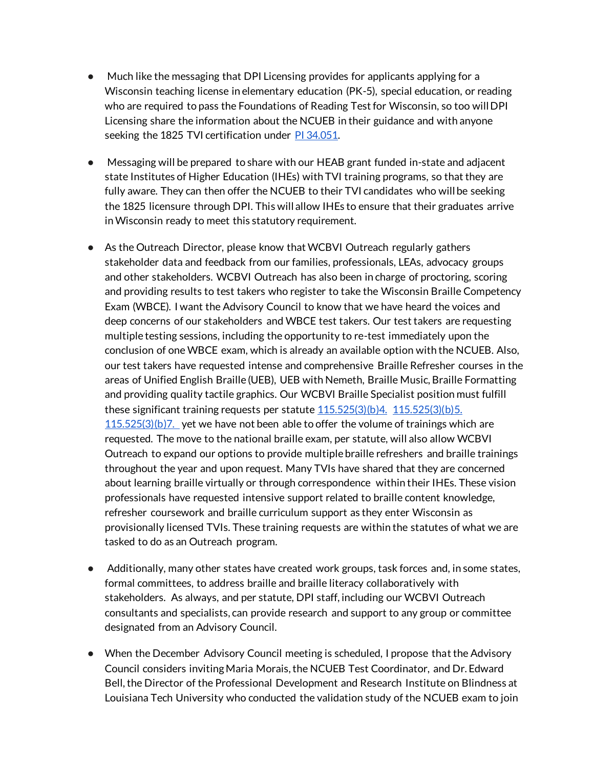- Much like the messaging that DPI Licensing provides for applicants applying for a Wisconsin teaching license in elementary education (PK-5), special education, or reading who are required to pass the Foundations of Reading Test for Wisconsin, so too will DPI Licensing share the information about the NCUEB in their guidance and with anyone seeking the 1825 TVI certification under [PI 34.051.](https://docs.legis.wisconsin.gov/code/admin_code/pi/34/VI/051)
- Messaging will be prepared to share with our HEAB grant funded in-state and adjacent state Institutes of Higher Education (IHEs) with TVI training programs, so that they are fully aware. They can then offer the NCUEB to their TVI candidates who will be seeking the 1825 licensure through DPI. This will allow IHEs to ensure that their graduates arrive in Wisconsin ready to meet this statutory requirement.
- As the Outreach Director, please know that WCBVI Outreach regularly gathers stakeholder data and feedback from our families, professionals, LEAs, advocacy groups and other stakeholders. WCBVI Outreach has also been in charge of proctoring, scoring and providing results to test takers who register to take the Wisconsin Braille Competency Exam (WBCE). I want the Advisory Council to know that we have heard the voices and deep concerns of our stakeholders and WBCE test takers. Our test takers are requesting multiple testing sessions, including the opportunity to re-test immediately upon the conclusion of one WBCE exam, which is already an available option with the NCUEB. Also, our test takers have requested intense and comprehensive Braille Refresher courses in the areas of Unified English Braille (UEB), UEB with Nemeth, Braille Music, Braille Formatting and providing quality tactile graphics. Our WCBVI Braille Specialist position must fulfill th[e](https://docs.legis.wisconsin.gov/document/statutes/115.525(3)(b)4.)se significant training requests per statute  $115.525(3)(b)4$ .  $115.525(3)(b)5$ .  $115.525(3)(b)7$ . yet we have not been able to offer the volume of trainings which are requested. The move to the national braille exam, per statute, will also allow WCBVI Outreach to expand our options to provide multiple braille refreshers and braille trainings throughout the year and upon request. Many TVIs have shared that they are concerned about learning braille virtually or through correspondence within their IHEs. These vision professionals have requested intensive support related to braille content knowledge, refresher coursework and braille curriculum support as they enter Wisconsin as provisionally licensed TVIs. These training requests are within the statutes of what we are tasked to do as an Outreach program.
- Additionally, many other states have created work groups, task forces and, in some states, formal committees, to address braille and braille literacy collaboratively with stakeholders. As always, and per statute, DPI staff, including our WCBVI Outreach consultants and specialists, can provide research and support to any group or committee designated from an Advisory Council.
- When the December Advisory Council meeting is scheduled, I propose that the Advisory Council considers inviting Maria Morais, the NCUEB Test Coordinator, and Dr. Edward Bell, the Director of the Professional Development and Research Institute on Blindness at Louisiana Tech University who conducted the validation study of the NCUEB exam to join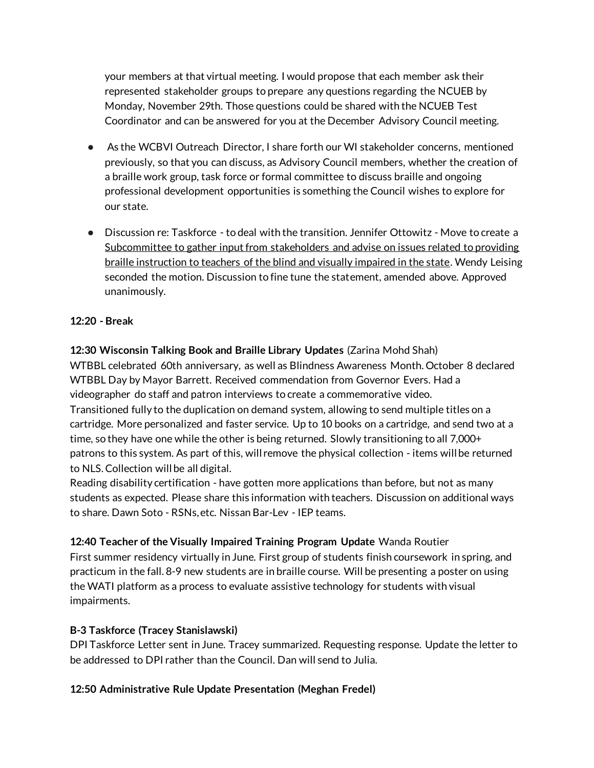your members at that virtual meeting. I would propose that each member ask their represented stakeholder groups to prepare any questions regarding the NCUEB by Monday, November 29th. Those questions could be shared with the NCUEB Test Coordinator and can be answered for you at the December Advisory Council meeting.

- As the WCBVI Outreach Director, I share forth our WI stakeholder concerns, mentioned previously, so that you can discuss, as Advisory Council members, whether the creation of a braille work group, task force or formal committee to discuss braille and ongoing professional development opportunities is something the Council wishes to explore for our state.
- Discussion re: Taskforce to deal with the transition. Jennifer Ottowitz Move to create a Subcommittee to gather input from stakeholders and advise on issues related to providing braille instruction to teachers of the blind and visually impaired in the state. Wendy Leising seconded the motion. Discussion to fine tune the statement, amended above. Approved unanimously.

## **12:20 - Break**

**12:30 Wisconsin Talking Book and Braille Library Updates** (Zarina Mohd Shah) WTBBL celebrated 60th anniversary, as well as Blindness Awareness Month. October 8 declared WTBBL Day by Mayor Barrett. Received commendation from Governor Evers. Had a videographer do staff and patron interviews to create a commemorative video. Transitioned fully to the duplication on demand system, allowing to send multiple titles on a cartridge. More personalized and faster service. Up to 10 books on a cartridge, and send two at a time, so they have one while the other is being returned. Slowly transitioning to all 7,000+ patrons to this system. As part of this, will remove the physical collection - items will be returned to NLS. Collection will be all digital.

Reading disability certification - have gotten more applications than before, but not as many students as expected. Please share this information with teachers. Discussion on additional ways to share. Dawn Soto - RSNs, etc. Nissan Bar-Lev - IEP teams.

## **12:40 Teacher of the Visually Impaired Training Program Update** Wanda Routier

First summer residency virtually in June. First group of students finish coursework in spring, and practicum in the fall. 8-9 new students are in braille course. Will be presenting a poster on using the WATI platform as a process to evaluate assistive technology for students with visual impairments.

## **B-3 Taskforce (Tracey Stanislawski)**

DPI Taskforce Letter sent in June. Tracey summarized. Requesting response. Update the letter to be addressed to DPI rather than the Council. Dan will send to Julia.

## **12:50 Administrative Rule Update Presentation (Meghan Fredel)**